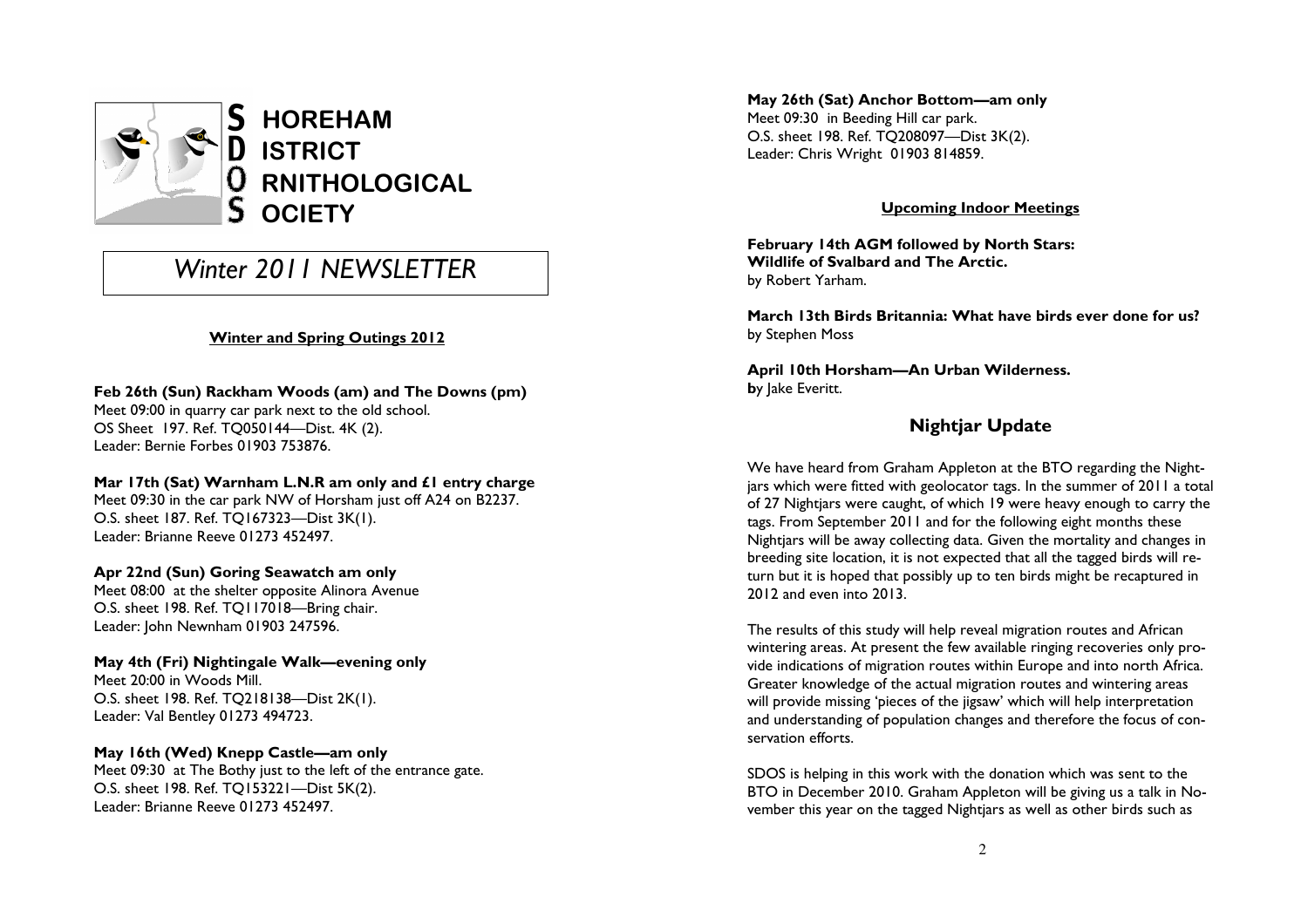

# Winter 2011 NFWSI FTTFR

### Winter and Spring Outings 2012

## Feb 26th (Sun) Rackham Woods (am) and The Downs (pm)

Meet 09:00 in quarry car park next to the old school. OS Sheet 197. Ref. TQ050144—Dist. 4K (2). Leader: Bernie Forbes 01903 753876.

#### Mar 17th (Sat) Warnham L.N.R am only and £1 entry charge

Meet 09:30 in the car park NW of Horsham just off A24 on B2237. O.S. sheet 187. Ref. TQ167323—Dist 3K(1). Leader: Brianne Reeve 01273 452497.

#### Apr 22nd (Sun) Goring Seawatch am only

 Meet 08:00 at the shelter opposite Alinora Avenue O.S. sheet 198. Ref. TQ117018—Bring chair. Leader: John Newnham 01903 247596.

#### May 4th (Fri) Nightingale Walk—evening only Meet 20:00 in Woods Mill.

 O.S. sheet 198. Ref. TQ218138—Dist 2K(1). Leader: Val Bentley 01273 494723.

#### May 16th (Wed) Knepp Castle—am only

 Meet 09:30 at The Bothy just to the left of the entrance gate. O.S. sheet 198. Ref. TQ153221—Dist 5K(2). Leader: Brianne Reeve 01273 452497.

May 26th (Sat) Anchor Bottom—am only Meet 09:30 in Beeding Hill car park. O.S. sheet 198. Ref. TQ208097—Dist 3K(2). Leader: Chris Wright 01903 814859.

### Upcoming Indoor Meetings

February 14th AGM followed by North Stars: Wildlife of Svalbard and The Arctic. by Robert Yarham.

March 13th Birds Britannia: What have birds ever done for us? by Stephen Moss

April 10th Horsham—An Urban Wilderness. by lake Everitt.

## Nightjar Update

We have heard from Graham Appleton at the BTO regarding the Nightjars which were fitted with geolocator tags. In the summer of 2011 a total of 27 Nightjars were caught, of which 19 were heavy enough to carry the tags. From September 2011 and for the following eight months these Nightjars will be away collecting data. Given the mortality and changes in breeding site location, it is not expected that all the tagged birds will return but it is hoped that possibly up to ten birds might be recaptured in 2012 and even into 2013.

The results of this study will help reveal migration routes and African wintering areas. At present the few available ringing recoveries only provide indications of migration routes within Europe and into north Africa. Greater knowledge of the actual migration routes and wintering areas will provide missing 'pieces of the jigsaw' which will help interpretation and understanding of population changes and therefore the focus of conservation efforts.

SDOS is helping in this work with the donation which was sent to the BTO in December 2010. Graham Appleton will be giving us a talk in November this year on the tagged Nightjars as well as other birds such as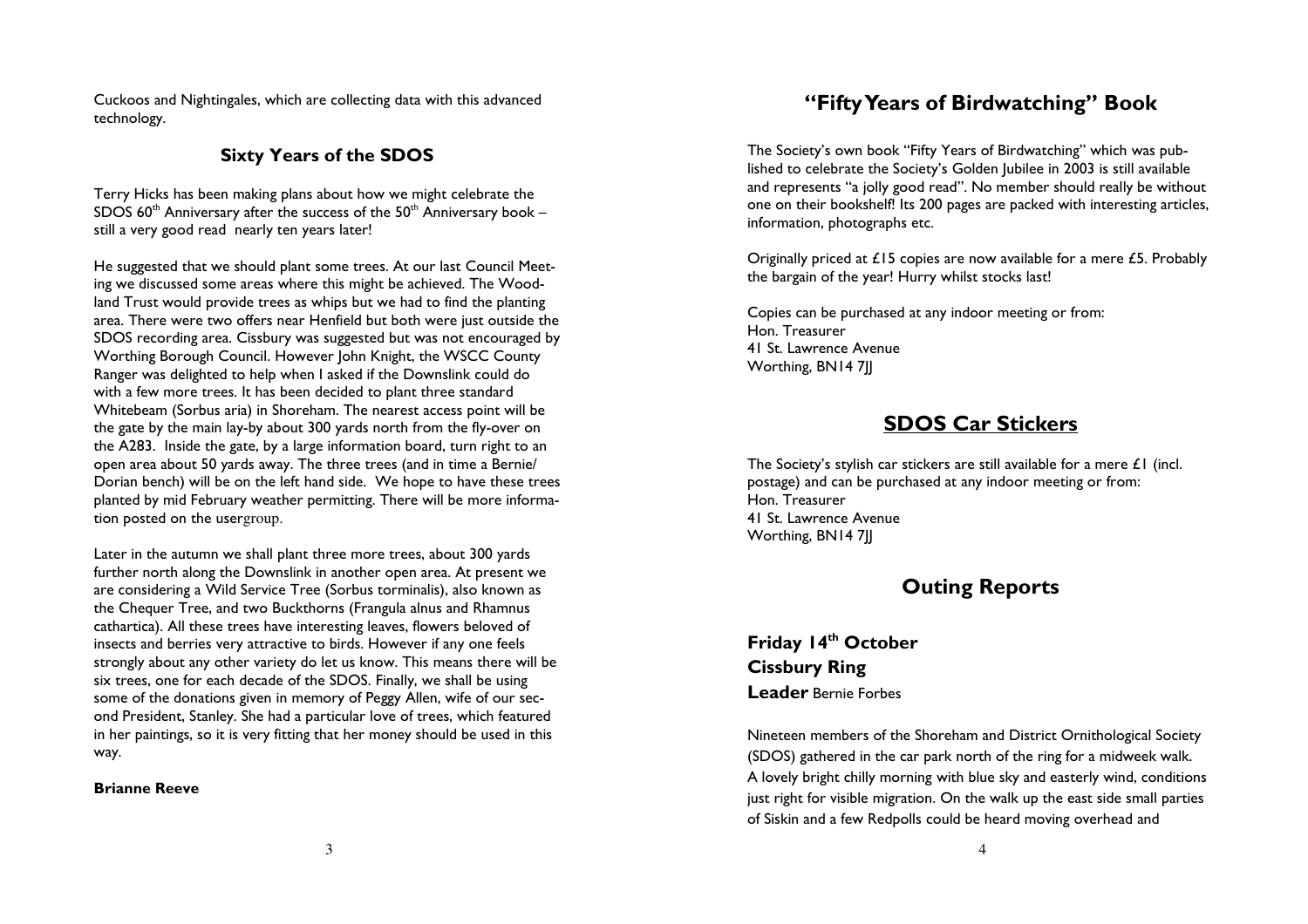Cuckoos and Nightingales, which are collecting data with this advanced technology.

### Sixty Years of the SDOS

Terry Hicks has been making plans about how we might celebrate the SDOS 60 $^{\rm th}$  Anniversary after the success of the 50 $^{\rm th}$  Anniversary book – still a very good read nearly ten years later!

He suggested that we should plant some trees. At our last Council Meeting we discussed some areas where this might be achieved. The Woodland Trust would provide trees as whips but we had to find the planting area. There were two offers near Henfield but both were just outside the SDOS recording area. Cissbury was suggested but was not encouraged by Worthing Borough Council. However John Knight, the WSCC County Ranger was delighted to help when I asked if the Downslink could do with a few more trees. It has been decided to plant three standard Whitebeam (Sorbus aria) in Shoreham. The nearest access point will be the gate by the main lay-by about 300 yards north from the fly-over on the A283. Inside the gate, by a large information board, turn right to an open area about 50 yards away. The three trees (and in time a Bernie/ Dorian bench) will be on the left hand side. We hope to have these trees planted by mid February weather permitting. There will be more information posted on the usergroup.

Later in the autumn we shall plant three more trees, about 300 yards further north along the Downslink in another open area. At present we are considering a Wild Service Tree (Sorbus torminalis), also known as the Chequer Tree, and two Buckthorns (Frangula alnus and Rhamnus cathartica). All these trees have interesting leaves, flowers beloved of insects and berries very attractive to birds. However if any one feels strongly about any other variety do let us know. This means there will be six trees, one for each decade of the SDOS. Finally, we shall be using some of the donations given in memory of Peggy Allen, wife of our second President, Stanley. She had a particular love of trees, which featured in her paintings, so it is very fitting that her money should be used in this way.

#### Brianne Reeve

## "Fifty Years of Birdwatching" Book

The Society's own book "Fifty Years of Birdwatching" which was published to celebrate the Society's Golden Jubilee in 2003 is still available and represents "a jolly good read". No member should really be without one on their bookshelf! Its 200 pages are packed with interesting articles, information, photographs etc.

Originally priced at £15 copies are now available for a mere £5. Probably the bargain of the year! Hurry whilst stocks last!

Copies can be purchased at any indoor meeting or from: Hon. Treasurer 41 St. Lawrence Avenue Worthing, BN14 7||

## SDOS Car Stickers

The Society's stylish car stickers are still available for a mere £1 (incl. postage) and can be purchased at any indoor meeting or from: Hon. Treasurer 41 St. Lawrence Avenue Worthing, BN14 7JJ

## Outing Reports

Friday 14th October Cissbury Ring Leader Bernie Forbes

Nineteen members of the Shoreham and District Ornithological Society (SDOS) gathered in the car park north of the ring for a midweek walk. A lovely bright chilly morning with blue sky and easterly wind, conditions just right for visible migration. On the walk up the east side small parties of Siskin and a few Redpolls could be heard moving overhead and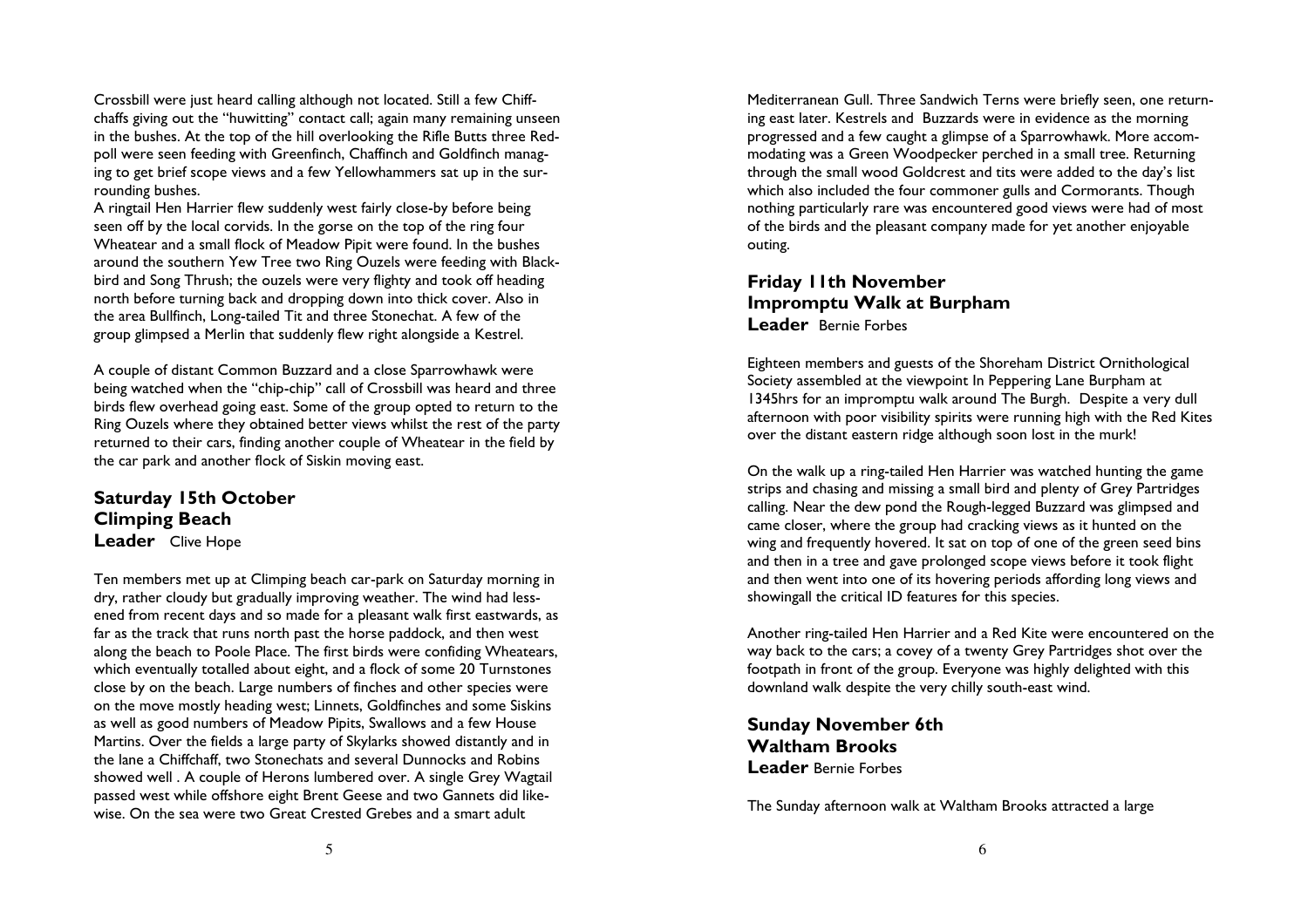Crossbill were just heard calling although not located. Still a few Chiffchaffs giving out the "huwitting" contact call; again many remaining unseen in the bushes. At the top of the hill overlooking the Rifle Butts three Redpoll were seen feeding with Greenfinch, Chaffinch and Goldfinch managing to get brief scope views and a few Yellowhammers sat up in the surrounding bushes.

 A ringtail Hen Harrier flew suddenly west fairly close-by before being seen off by the local corvids. In the gorse on the top of the ring four Wheatear and a small flock of Meadow Pipit were found. In the bushes around the southern Yew Tree two Ring Ouzels were feeding with Blackbird and Song Thrush; the ouzels were very flighty and took off heading north before turning back and dropping down into thick cover. Also in the area Bullfinch, Long-tailed Tit and three Stonechat. A few of the group glimpsed a Merlin that suddenly flew right alongside a Kestrel.

A couple of distant Common Buzzard and a close Sparrowhawk were being watched when the "chip-chip" call of Crossbill was heard and three birds flew overhead going east. Some of the group opted to return to the Ring Ouzels where they obtained better views whilst the rest of the party returned to their cars, finding another couple of Wheatear in the field by the car park and another flock of Siskin moving east.

Saturday 15th October Climping Beach Leader Clive Hope

Ten members met up at Climping beach car-park on Saturday morning in dry, rather cloudy but gradually improving weather. The wind had lessened from recent days and so made for a pleasant walk first eastwards, as far as the track that runs north past the horse paddock, and then west along the beach to Poole Place. The first birds were confiding Wheatears, which eventually totalled about eight, and a flock of some 20 Turnstones close by on the beach. Large numbers of finches and other species were on the move mostly heading west; Linnets, Goldfinches and some Siskins as well as good numbers of Meadow Pipits, Swallows and a few House Martins. Over the fields a large party of Skylarks showed distantly and in the lane a Chiffchaff, two Stonechats and several Dunnocks and Robins showed well . A couple of Herons lumbered over. A single Grey Wagtail passed west while offshore eight Brent Geese and two Gannets did likewise. On the sea were two Great Crested Grebes and a smart adult

Mediterranean Gull. Three Sandwich Terns were briefly seen, one returning east later. Kestrels and Buzzards were in evidence as the morning progressed and a few caught a glimpse of a Sparrowhawk. More accommodating was a Green Woodpecker perched in a small tree. Returning through the small wood Goldcrest and tits were added to the day's list which also included the four commoner gulls and Cormorants. Though nothing particularly rare was encountered good views were had of most of the birds and the pleasant company made for yet another enjoyable outing.

## Friday 11th November Impromptu Walk at BurphamLeader Bernie Forbes

Eighteen members and guests of the Shoreham District Ornithological Society assembled at the viewpoint In Peppering Lane Burpham at 1345hrs for an impromptu walk around The Burgh. Despite a very dull afternoon with poor visibility spirits were running high with the Red Kites over the distant eastern ridge although soon lost in the murk!

On the walk up a ring-tailed Hen Harrier was watched hunting the game strips and chasing and missing a small bird and plenty of Grey Partridges calling. Near the dew pond the Rough-legged Buzzard was glimpsed and came closer, where the group had cracking views as it hunted on the wing and frequently hovered. It sat on top of one of the green seed bins and then in a tree and gave prolonged scope views before it took flight and then went into one of its hovering periods affording long views and showingall the critical ID features for this species.

Another ring-tailed Hen Harrier and a Red Kite were encountered on the way back to the cars; a covey of a twenty Grey Partridges shot over the footpath in front of the group. Everyone was highly delighted with this downland walk despite the very chilly south-east wind.

Sunday November 6thWaltham BrooksLeader Bernie Forbes

The Sunday afternoon walk at Waltham Brooks attracted a large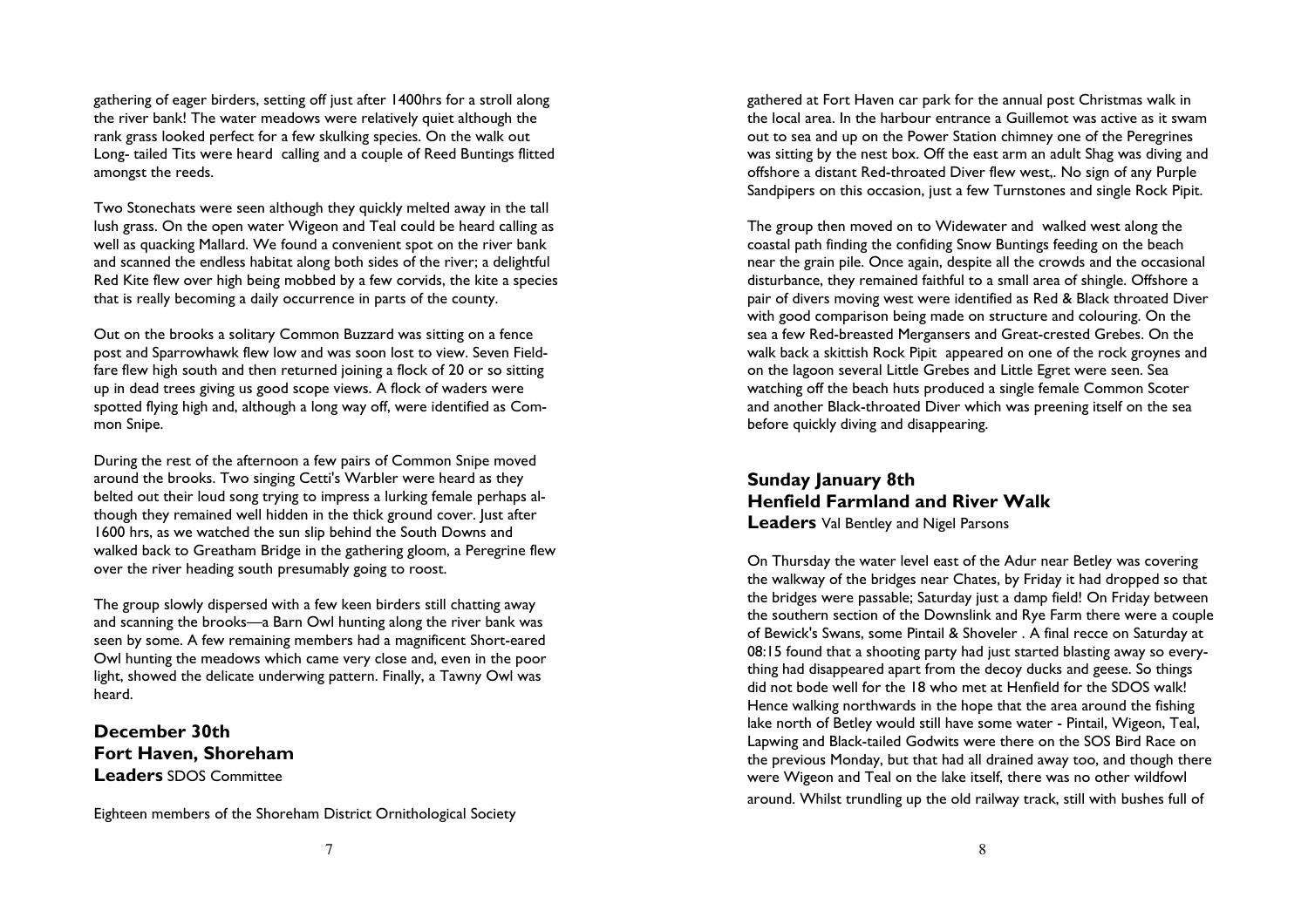gathering of eager birders, setting off just after 1400hrs for a stroll along the river bank! The water meadows were relatively quiet although the rank grass looked perfect for a few skulking species. On the walk out Long- tailed Tits were heard calling and a couple of Reed Buntings flitted amongst the reeds.

Two Stonechats were seen although they quickly melted away in the tall lush grass. On the open water Wigeon and Teal could be heard calling as well as quacking Mallard. We found a convenient spot on the river bank and scanned the endless habitat along both sides of the river; a delightful Red Kite flew over high being mobbed by a few corvids, the kite a species that is really becoming a daily occurrence in parts of the county.

Out on the brooks a solitary Common Buzzard was sitting on a fence post and Sparrowhawk flew low and was soon lost to view. Seven Fieldfare flew high south and then returned joining a flock of 20 or so sitting up in dead trees giving us good scope views. A flock of waders were spotted flying high and, although a long way off, were identified as Common Snipe.

During the rest of the afternoon a few pairs of Common Snipe moved around the brooks. Two singing Cetti's Warbler were heard as they belted out their loud song trying to impress a lurking female perhaps although they remained well hidden in the thick ground cover. Just after 1600 hrs, as we watched the sun slip behind the South Downs and walked back to Greatham Bridge in the gathering gloom, a Peregrine flew over the river heading south presumably going to roost.

The group slowly dispersed with a few keen birders still chatting away and scanning the brooks—a Barn Owl hunting along the river bank was seen by some. A few remaining members had a magnificent Short-eared Owl hunting the meadows which came very close and, even in the poor light, showed the delicate underwing pattern. Finally, a Tawny Owl was heard.

December 30th Fort Haven, Shoreham Leaders SDOS Committee

Eighteen members of the Shoreham District Ornithological Society

gathered at Fort Haven car park for the annual post Christmas walk in the local area. In the harbour entrance a Guillemot was active as it swam out to sea and up on the Power Station chimney one of the Peregrines was sitting by the nest box. Off the east arm an adult Shag was diving and offshore a distant Red-throated Diver flew west,. No sign of any Purple Sandpipers on this occasion, just a few Turnstones and single Rock Pipit.

The group then moved on to Widewater and walked west along the coastal path finding the confiding Snow Buntings feeding on the beach near the grain pile. Once again, despite all the crowds and the occasional disturbance, they remained faithful to a small area of shingle. Offshore a pair of divers moving west were identified as Red & Black throated Diver with good comparison being made on structure and colouring. On the sea a few Red-breasted Mergansers and Great-crested Grebes. On the walk back a skittish Rock Pipit appeared on one of the rock groynes and on the lagoon several Little Grebes and Little Egret were seen. Sea watching off the beach huts produced a single female Common Scoter and another Black-throated Diver which was preening itself on the sea before quickly diving and disappearing.

Sunday January 8th Henfield Farmland and River Walk **Leaders** Val Bentley and Nigel Parsons

On Thursday the water level east of the Adur near Betley was covering the walkway of the bridges near Chates, by Friday it had dropped so that the bridges were passable; Saturday just a damp field! On Friday between the southern section of the Downslink and Rye Farm there were a couple of Bewick's Swans, some Pintail & Shoveler . A final recce on Saturday at 08:15 found that a shooting party had just started blasting away so everything had disappeared apart from the decoy ducks and geese. So things did not bode well for the 18 who met at Henfield for the SDOS walk! Hence walking northwards in the hope that the area around the fishing lake north of Betley would still have some water - Pintail, Wigeon, Teal, Lapwing and Black-tailed Godwits were there on the SOS Bird Race on the previous Monday, but that had all drained away too, and though there were Wigeon and Teal on the lake itself, there was no other wildfowl around. Whilst trundling up the old railway track, still with bushes full of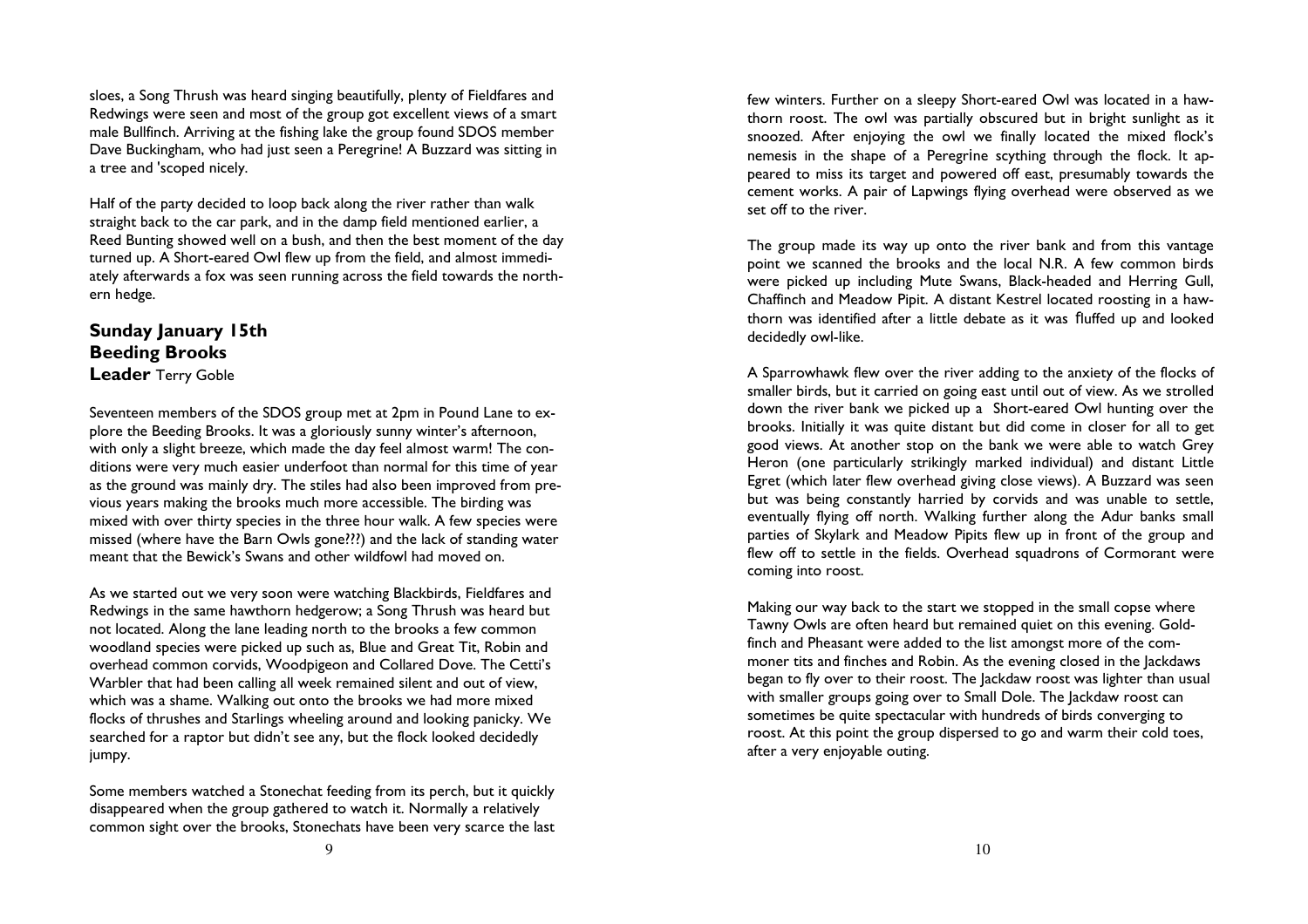sloes, a Song Thrush was heard singing beautifully, plenty of Fieldfares and Redwings were seen and most of the group got excellent views of a smart male Bullfinch. Arriving at the fishing lake the group found SDOS member Dave Buckingham, who had just seen a Peregrine! A Buzzard was sitting in a tree and 'scoped nicely.

Half of the party decided to loop back along the river rather than walk straight back to the car park, and in the damp field mentioned earlier, a Reed Bunting showed well on a bush, and then the best moment of the day turned up. A Short-eared Owl flew up from the field, and almost immediately afterwards a fox was seen running across the field towards the northern hedge.

## Sunday January 15th Beeding Brooks

**Leader** Terry Goble

Seventeen members of the SDOS group met at 2pm in Pound Lane to explore the Beeding Brooks. It was a gloriously sunny winter's afternoon, with only a slight breeze, which made the day feel almost warm! The conditions were very much easier underfoot than normal for this time of year as the ground was mainly dry. The stiles had also been improved from previous years making the brooks much more accessible. The birding was mixed with over thirty species in the three hour walk. A few species were missed (where have the Barn Owls gone???) and the lack of standing water meant that the Bewick's Swans and other wildfowl had moved on.

As we started out we very soon were watching Blackbirds, Fieldfares and Redwings in the same hawthorn hedgerow; a Song Thrush was heard but not located. Along the lane leading north to the brooks a few common woodland species were picked up such as, Blue and Great Tit, Robin and overhead common corvids, Woodpigeon and Collared Dove. The Cetti's Warbler that had been calling all week remained silent and out of view, which was a shame. Walking out onto the brooks we had more mixed flocks of thrushes and Starlings wheeling around and looking panicky. We searched for a raptor but didn't see any, but the flock looked decidedly jumpy.

Some members watched a Stonechat feeding from its perch, but it quickly disappeared when the group gathered to watch it. Normally a relatively common sight over the brooks, Stonechats have been very scarce the last few winters. Further on a sleepy Short-eared Owl was located in a hawthorn roost. The owl was partially obscured but in bright sunlight as it snoozed. After enjoying the owl we finally located the mixed flock's nemesis in the shape of a Peregrine scything through the flock. It appeared to miss its target and powered off east, presumably towards the cement works. A pair of Lapwings flying overhead were observed as we set off to the river.

The group made its way up onto the river bank and from this vantage point we scanned the brooks and the local N.R. A few common birds were picked up including Mute Swans, Black-headed and Herring Gull, Chaffinch and Meadow Pipit. A distant Kestrel located roosting in a hawthorn was identified after a little debate as it was fluffed up and lookeddecidedly owl-like.

A Sparrowhawk flew over the river adding to the anxiety of the flocks of smaller birds, but it carried on going east until out of view. As we strolled down the river bank we picked up a Short-eared Owl hunting over the brooks. Initially it was quite distant but did come in closer for all to get good views. At another stop on the bank we were able to watch Grey Heron (one particularly strikingly marked individual) and distant Little Egret (which later flew overhead giving close views). A Buzzard was seen but was being constantly harried by corvids and was unable to settle, eventually flying off north. Walking further along the Adur banks small parties of Skylark and Meadow Pipits flew up in front of the group and flew off to settle in the fields. Overhead squadrons of Cormorant were coming into roost.

Making our way back to the start we stopped in the small copse where Tawny Owls are often heard but remained quiet on this evening. Goldfinch and Pheasant were added to the list amongst more of the commoner tits and finches and Robin. As the evening closed in the Jackdaws began to fly over to their roost. The Jackdaw roost was lighter than usual with smaller groups going over to Small Dole. The Jackdaw roost can sometimes be quite spectacular with hundreds of birds converging to roost. At this point the group dispersed to go and warm their cold toes, after a very enjoyable outing.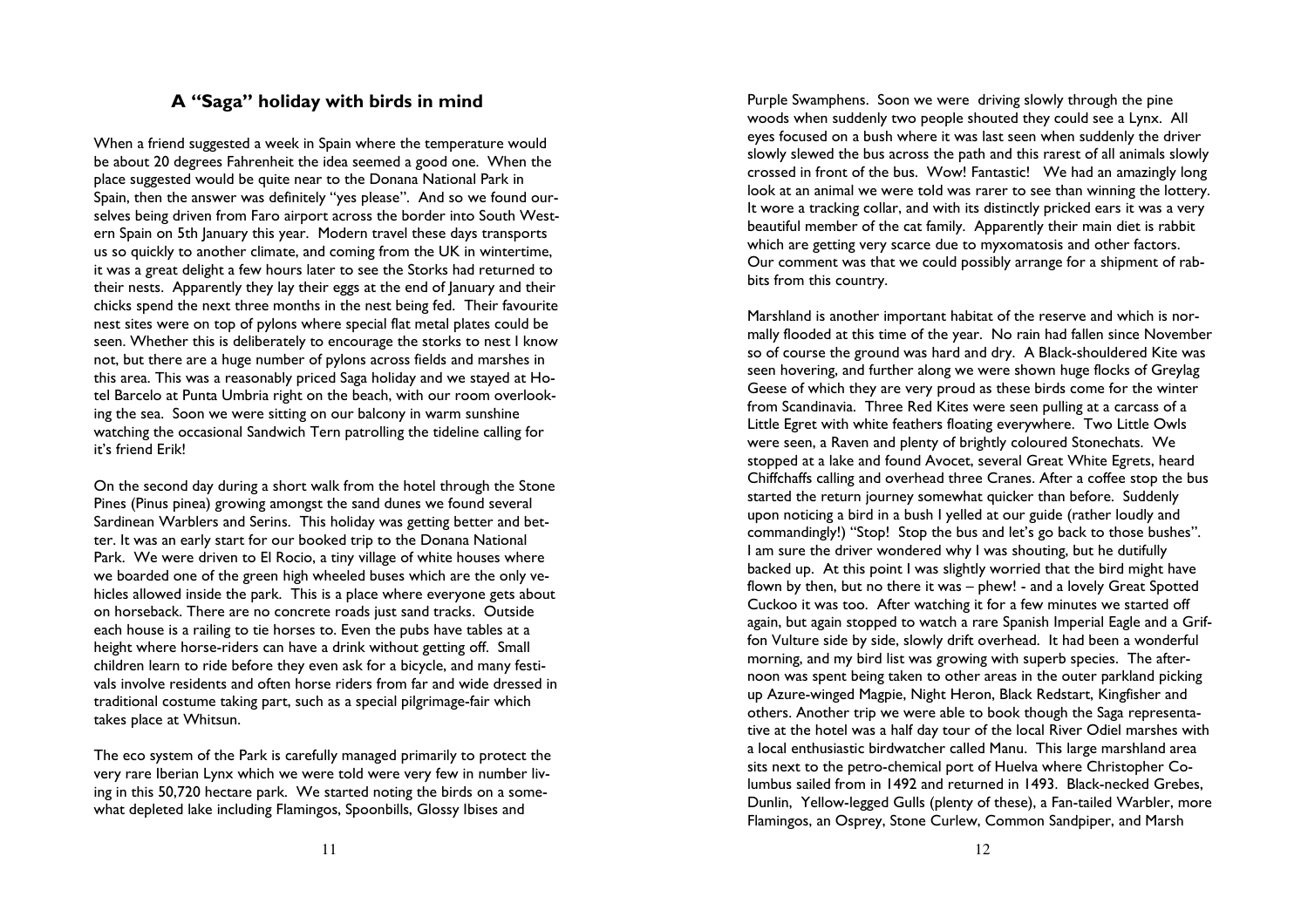### A "Saga" holiday with birds in mind

When a friend suggested a week in Spain where the temperature would be about 20 degrees Fahrenheit the idea seemed a good one. When the place suggested would be quite near to the Donana National Park in Spain, then the answer was definitely "yes please". And so we found ourselves being driven from Faro airport across the border into South Western Spain on 5th January this year. Modern travel these days transports us so quickly to another climate, and coming from the UK in wintertime, it was a great delight a few hours later to see the Storks had returned to their nests. Apparently they lay their eggs at the end of January and their chicks spend the next three months in the nest being fed. Their favourite nest sites were on top of pylons where special flat metal plates could be seen. Whether this is deliberately to encourage the storks to nest I know not, but there are a huge number of pylons across fields and marshes in this area. This was a reasonably priced Saga holiday and we stayed at Hotel Barcelo at Punta Umbria right on the beach, with our room overlooking the sea. Soon we were sitting on our balcony in warm sunshine watching the occasional Sandwich Tern patrolling the tideline calling for it's friend Erik!

On the second day during a short walk from the hotel through the Stone Pines (Pinus pinea) growing amongst the sand dunes we found several Sardinean Warblers and Serins. This holiday was getting better and better. It was an early start for our booked trip to the Donana National Park. We were driven to El Rocio, a tiny village of white houses where we boarded one of the green high wheeled buses which are the only vehicles allowed inside the park. This is a place where everyone gets about on horseback. There are no concrete roads just sand tracks. Outside each house is a railing to tie horses to. Even the pubs have tables at a height where horse-riders can have a drink without getting off. Small children learn to ride before they even ask for a bicycle, and many festivals involve residents and often horse riders from far and wide dressed in traditional costume taking part, such as a special pilgrimage-fair which takes place at Whitsun.

The eco system of the Park is carefully managed primarily to protect the very rare Iberian Lynx which we were told were very few in number living in this 50,720 hectare park. We started noting the birds on a somewhat depleted lake including Flamingos, Spoonbills, Glossy Ibises and

Purple Swamphens. Soon we were driving slowly through the pine woods when suddenly two people shouted they could see a Lynx. All eyes focused on a bush where it was last seen when suddenly the driver slowly slewed the bus across the path and this rarest of all animals slowly crossed in front of the bus. Wow! Fantastic! We had an amazingly long look at an animal we were told was rarer to see than winning the lottery. It wore a tracking collar, and with its distinctly pricked ears it was a very beautiful member of the cat family. Apparently their main diet is rabbit which are getting very scarce due to myxomatosis and other factors. Our comment was that we could possibly arrange for a shipment of rabbits from this country.

Marshland is another important habitat of the reserve and which is normally flooded at this time of the year. No rain had fallen since November so of course the ground was hard and dry. A Black-shouldered Kite was seen hovering, and further along we were shown huge flocks of Greylag Geese of which they are very proud as these birds come for the winter from Scandinavia. Three Red Kites were seen pulling at a carcass of a Little Egret with white feathers floating everywhere. Two Little Owls were seen, a Raven and plenty of brightly coloured Stonechats. We stopped at a lake and found Avocet, several Great White Egrets, heard Chiffchaffs calling and overhead three Cranes. After a coffee stop the bus started the return journey somewhat quicker than before. Suddenly upon noticing a bird in a bush I yelled at our guide (rather loudly and commandingly!) "Stop! Stop the bus and let's go back to those bushes". I am sure the driver wondered why I was shouting, but he dutifully backed up. At this point I was slightly worried that the bird might have flown by then, but no there it was – phew! - and a lovely Great Spotted Cuckoo it was too. After watching it for a few minutes we started off again, but again stopped to watch a rare Spanish Imperial Eagle and a Griffon Vulture side by side, slowly drift overhead. It had been a wonderful morning, and my bird list was growing with superb species. The afternoon was spent being taken to other areas in the outer parkland picking up Azure-winged Magpie, Night Heron, Black Redstart, Kingfisher and others. Another trip we were able to book though the Saga representative at the hotel was a half day tour of the local River Odiel marshes with a local enthusiastic birdwatcher called Manu. This large marshland area sits next to the petro-chemical port of Huelva where Christopher Columbus sailed from in 1492 and returned in 1493. Black-necked Grebes, Dunlin, Yellow-legged Gulls (plenty of these), a Fan-tailed Warbler, more Flamingos, an Osprey, Stone Curlew, Common Sandpiper, and Marsh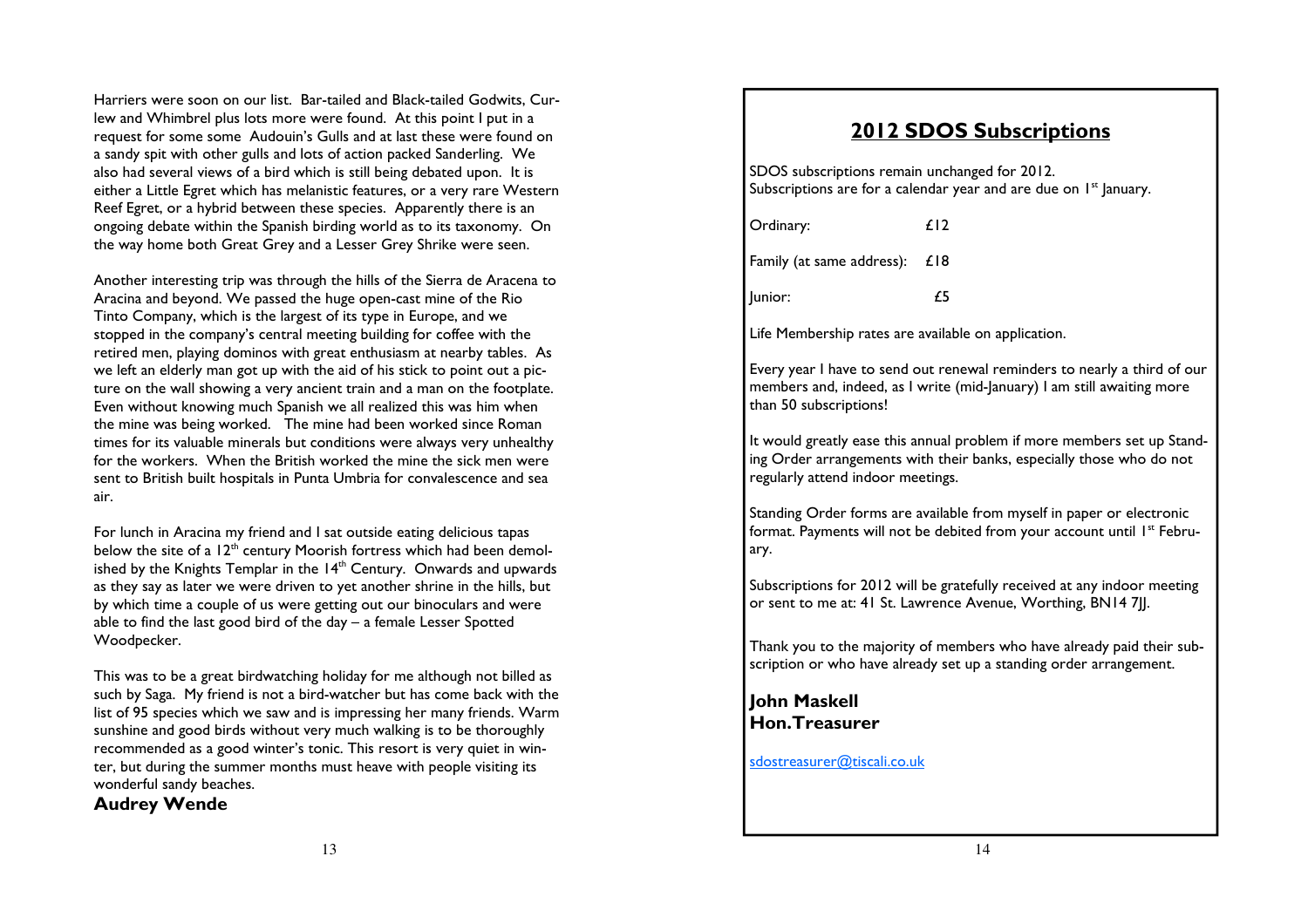Harriers were soon on our list. Bar-tailed and Black-tailed Godwits, Curlew and Whimbrel plus lots more were found. At this point I put in a request for some some Audouin's Gulls and at last these were found on a sandy spit with other gulls and lots of action packed Sanderling. We also had several views of a bird which is still being debated upon. It is either a Little Egret which has melanistic features, or a very rare Western Reef Egret, or a hybrid between these species. Apparently there is an ongoing debate within the Spanish birding world as to its taxonomy. On the way home both Great Grey and a Lesser Grey Shrike were seen.

Another interesting trip was through the hills of the Sierra de Aracena to Aracina and beyond. We passed the huge open-cast mine of the Rio Tinto Company, which is the largest of its type in Europe, and we stopped in the company's central meeting building for coffee with the retired men, playing dominos with great enthusiasm at nearby tables. As we left an elderly man got up with the aid of his stick to point out a picture on the wall showing a very ancient train and a man on the footplate. Even without knowing much Spanish we all realized this was him when the mine was being worked. The mine had been worked since Roman times for its valuable minerals but conditions were always very unhealthy for the workers. When the British worked the mine the sick men were sent to British built hospitals in Punta Umbria for convalescence and sea air.

For lunch in Aracina my friend and I sat outside eating delicious tapas below the site of a  $12^{\text{th}}$  century Moorish fortress which had been demolished by the Knights Templar in the  $14<sup>th</sup>$  Century. Onwards and upwards as they say as later we were driven to yet another shrine in the hills, but by which time a couple of us were getting out our binoculars and were able to find the last good bird of the day – a female Lesser Spotted Woodpecker.

This was to be a great birdwatching holiday for me although not billed as such by Saga. My friend is not a bird-watcher but has come back with the list of 95 species which we saw and is impressing her many friends. Warm sunshine and good birds without very much walking is to be thoroughly recommended as a good winter's tonic. This resort is very quiet in winter, but during the summer months must heave with people visiting its wonderful sandy beaches.

Audrey Wende

## 2012 SDOS Subscriptions

SDOS subscriptions remain unchanged for 2012. Subscriptions are for a calendar year and are due on  $1<sup>st</sup>$  January.

| Ordinary:                     | £12 |
|-------------------------------|-----|
| Family (at same address): £18 |     |
| Junior:                       | 75  |

Life Membership rates are available on application.

Every year I have to send out renewal reminders to nearly a third of our members and, indeed, as I write (mid-January) I am still awaiting more than 50 subscriptions!

It would greatly ease this annual problem if more members set up Standing Order arrangements with their banks, especially those who do not regularly attend indoor meetings.

Standing Order forms are available from myself in paper or electronic format. Payments will not be debited from your account until 1<sup>st</sup> February.

Subscriptions for 2012 will be gratefully received at any indoor meeting or sent to me at: 41 St. Lawrence Avenue, Worthing, BN14 7JJ.

Thank you to the majority of members who have already paid their subscription or who have already set up a standing order arrangement.

## John Maskell Hon.Treasurer

sdostreasurer@tiscali.co.uk